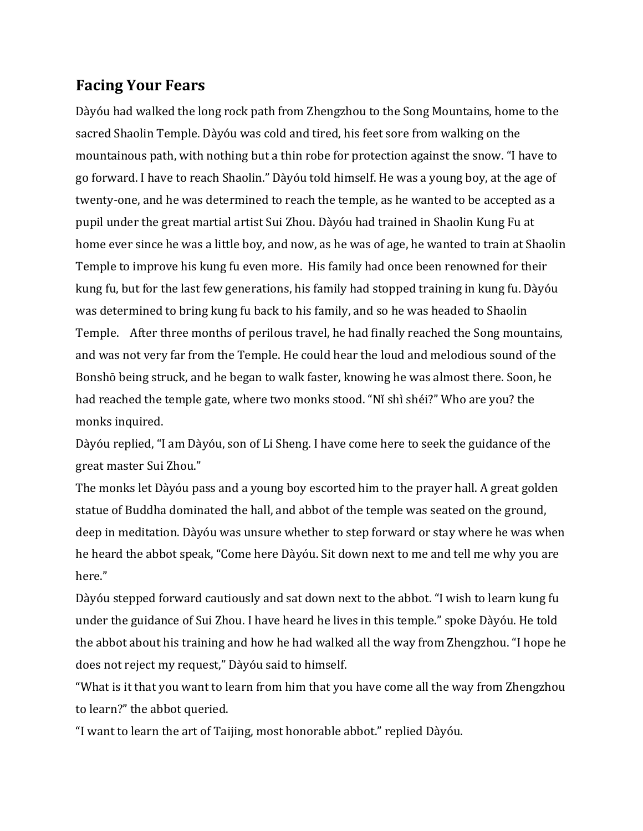## **Facing Your Fears**

Dàyóu had walked the long rock path from Zhengzhou to the Song Mountains, home to the sacred Shaolin Temple. Dàyóu was cold and tired, his feet sore from walking on the mountainous path, with nothing but a thin robe for protection against the snow. "I have to go forward. I have to reach Shaolin." Dàyóu told himself. He was a young boy, at the age of twenty-one, and he was determined to reach the temple, as he wanted to be accepted as a pupil under the great martial artist Sui Zhou. Dàyóu had trained in Shaolin Kung Fu at home ever since he was a little boy, and now, as he was of age, he wanted to train at Shaolin Temple to improve his kung fu even more. His family had once been renowned for their kung fu, but for the last few generations, his family had stopped training in kung fu. Dàyóu was determined to bring kung fu back to his family, and so he was headed to Shaolin Temple. After three months of perilous travel, he had finally reached the Song mountains, and was not very far from the Temple. He could hear the loud and melodious sound of the Bonshō being struck, and he began to walk faster, knowing he was almost there. Soon, he had reached the temple gate, where two monks stood. "Ni shi shéi?" Who are you? the monks inquired.

Dàyóu replied, "I am Dàyóu, son of Li Sheng. I have come here to seek the guidance of the great master Sui Zhou."

The monks let Dàyóu pass and a young boy escorted him to the prayer hall. A great golden statue of Buddha dominated the hall, and abbot of the temple was seated on the ground, deep in meditation. Dàyóu was unsure whether to step forward or stay where he was when he heard the abbot speak, "Come here Dàyóu. Sit down next to me and tell me why you are here." 

Dàyóu stepped forward cautiously and sat down next to the abbot. "I wish to learn kung fu under the guidance of Sui Zhou. I have heard he lives in this temple." spoke Dàyóu. He told the abbot about his training and how he had walked all the way from Zhengzhou. "I hope he does not reject my request," Dàyóu said to himself.

"What is it that you want to learn from him that you have come all the way from Zhengzhou to learn?" the abbot queried.

"I want to learn the art of Taijing, most honorable abbot." replied Dàyóu.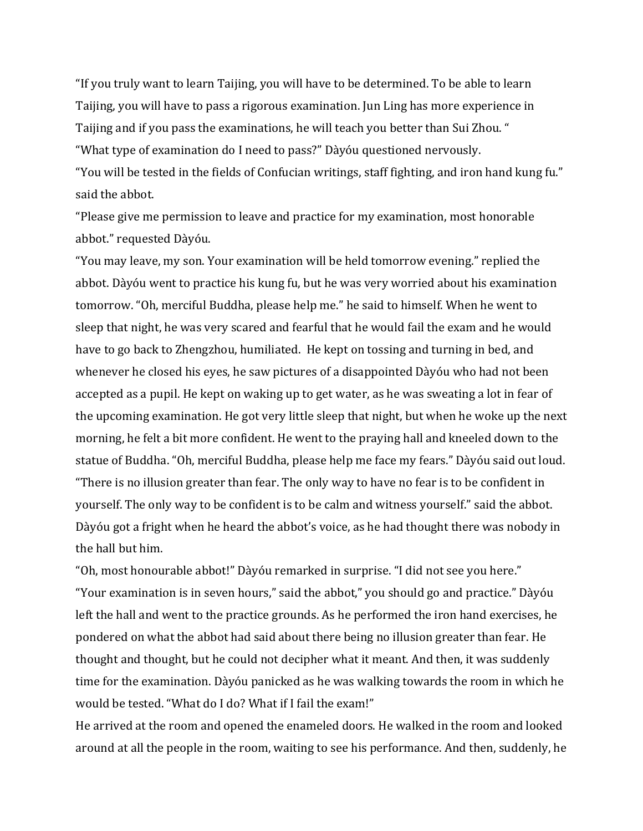"If you truly want to learn Taijing, you will have to be determined. To be able to learn Taijing, you will have to pass a rigorous examination. Jun Ling has more experience in Taijing and if you pass the examinations, he will teach you better than Sui Zhou. " "What type of examination do I need to pass?" Dàyóu questioned nervously. "You will be tested in the fields of Confucian writings, staff fighting, and iron hand kung fu." said the abbot.

"Please give me permission to leave and practice for my examination, most honorable abbot." requested Dàyóu.

"You may leave, my son. Your examination will be held tomorrow evening." replied the abbot. Dàyóu went to practice his kung fu, but he was very worried about his examination tomorrow. "Oh, merciful Buddha, please help me." he said to himself. When he went to sleep that night, he was very scared and fearful that he would fail the exam and he would have to go back to Zhengzhou, humiliated. He kept on tossing and turning in bed, and whenever he closed his eyes, he saw pictures of a disappointed Dàyóu who had not been accepted as a pupil. He kept on waking up to get water, as he was sweating a lot in fear of the upcoming examination. He got very little sleep that night, but when he woke up the next morning, he felt a bit more confident. He went to the praying hall and kneeled down to the statue of Buddha. "Oh, merciful Buddha, please help me face my fears." Dàyóu said out loud. "There is no illusion greater than fear. The only way to have no fear is to be confident in yourself. The only way to be confident is to be calm and witness yourself." said the abbot. Dàyóu got a fright when he heard the abbot's voice, as he had thought there was nobody in the hall but him.

"Oh, most honourable abbot!" Dàyóu remarked in surprise. "I did not see you here." "Your examination is in seven hours," said the abbot," you should go and practice." Dàyóu left the hall and went to the practice grounds. As he performed the iron hand exercises, he pondered on what the abbot had said about there being no illusion greater than fear. He thought and thought, but he could not decipher what it meant. And then, it was suddenly time for the examination. Dàyóu panicked as he was walking towards the room in which he would be tested. "What do I do? What if I fail the exam!"

He arrived at the room and opened the enameled doors. He walked in the room and looked around at all the people in the room, waiting to see his performance. And then, suddenly, he